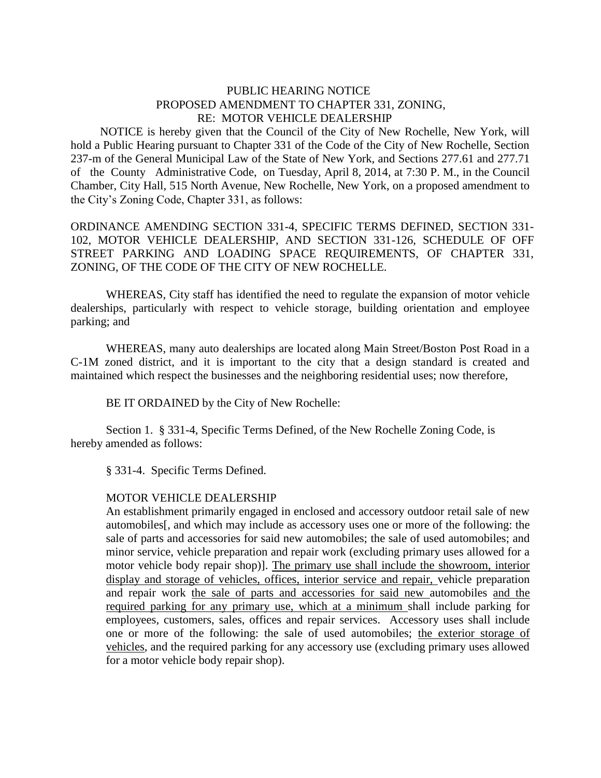## PUBLIC HEARING NOTICE PROPOSED AMENDMENT TO CHAPTER 331, ZONING, RE: MOTOR VEHICLE DEALERSHIP

 NOTICE is hereby given that the Council of the City of New Rochelle, New York, will hold a Public Hearing pursuant to Chapter 331 of the Code of the City of New Rochelle, Section 237-m of the General Municipal Law of the State of New York, and Sections 277.61 and 277.71 of the County Administrative Code, on Tuesday, April 8, 2014, at 7:30 P. M., in the Council Chamber, City Hall, 515 North Avenue, New Rochelle, New York, on a proposed amendment to the City's Zoning Code, Chapter 331, as follows:

ORDINANCE AMENDING SECTION 331-4, SPECIFIC TERMS DEFINED, SECTION 331- 102, MOTOR VEHICLE DEALERSHIP, AND SECTION 331-126, SCHEDULE OF OFF STREET PARKING AND LOADING SPACE REQUIREMENTS, OF CHAPTER 331, ZONING, OF THE CODE OF THE CITY OF NEW ROCHELLE.

WHEREAS, City staff has identified the need to regulate the expansion of motor vehicle dealerships, particularly with respect to vehicle storage, building orientation and employee parking; and

WHEREAS, many auto dealerships are located along Main Street/Boston Post Road in a C-1M zoned district, and it is important to the city that a design standard is created and maintained which respect the businesses and the neighboring residential uses; now therefore,

BE IT ORDAINED by the City of New Rochelle:

Section 1. § 331-4, Specific Terms Defined, of the New Rochelle Zoning Code, is hereby amended as follows:

§ 331-4. Specific Terms Defined.

## MOTOR VEHICLE DEALERSHIP

An establishment primarily engaged in enclosed and accessory outdoor retail sale of new automobiles[, and which may include as accessory uses one or more of the following: the sale of parts and accessories for said new automobiles; the sale of used automobiles; and minor service, vehicle preparation and repair work (excluding primary uses allowed for a motor vehicle body repair shop)]. The primary use shall include the showroom, interior display and storage of vehicles, offices, interior service and repair, vehicle preparation and repair work the sale of parts and accessories for said new automobiles and the required parking for any primary use, which at a minimum shall include parking for employees, customers, sales, offices and repair services. Accessory uses shall include one or more of the following: the sale of used automobiles; the exterior storage of vehicles, and the required parking for any accessory use (excluding primary uses allowed for a motor vehicle body repair shop).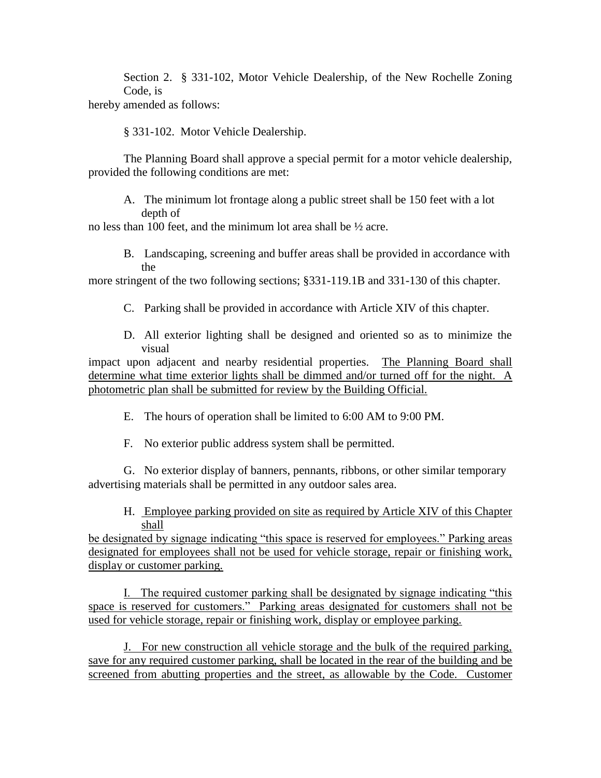Section 2. § 331-102, Motor Vehicle Dealership, of the New Rochelle Zoning Code, is

hereby amended as follows:

§ 331-102. Motor Vehicle Dealership.

The Planning Board shall approve a special permit for a motor vehicle dealership, provided the following conditions are met:

A. The minimum lot frontage along a public street shall be 150 feet with a lot depth of

no less than 100 feet, and the minimum lot area shall be ½ acre.

B. Landscaping, screening and buffer areas shall be provided in accordance with the

more stringent of the two following sections; §331-119.1B and 331-130 of this chapter.

- C. Parking shall be provided in accordance with Article XIV of this chapter.
- D. All exterior lighting shall be designed and oriented so as to minimize the visual

impact upon adjacent and nearby residential properties. The Planning Board shall determine what time exterior lights shall be dimmed and/or turned off for the night. A photometric plan shall be submitted for review by the Building Official.

- E. The hours of operation shall be limited to 6:00 AM to 9:00 PM.
- F. No exterior public address system shall be permitted.

G. No exterior display of banners, pennants, ribbons, or other similar temporary advertising materials shall be permitted in any outdoor sales area.

H. Employee parking provided on site as required by Article XIV of this Chapter shall

be designated by signage indicating "this space is reserved for employees." Parking areas designated for employees shall not be used for vehicle storage, repair or finishing work, display or customer parking.

I. The required customer parking shall be designated by signage indicating "this space is reserved for customers." Parking areas designated for customers shall not be used for vehicle storage, repair or finishing work, display or employee parking.

J. For new construction all vehicle storage and the bulk of the required parking, save for any required customer parking, shall be located in the rear of the building and be screened from abutting properties and the street, as allowable by the Code. Customer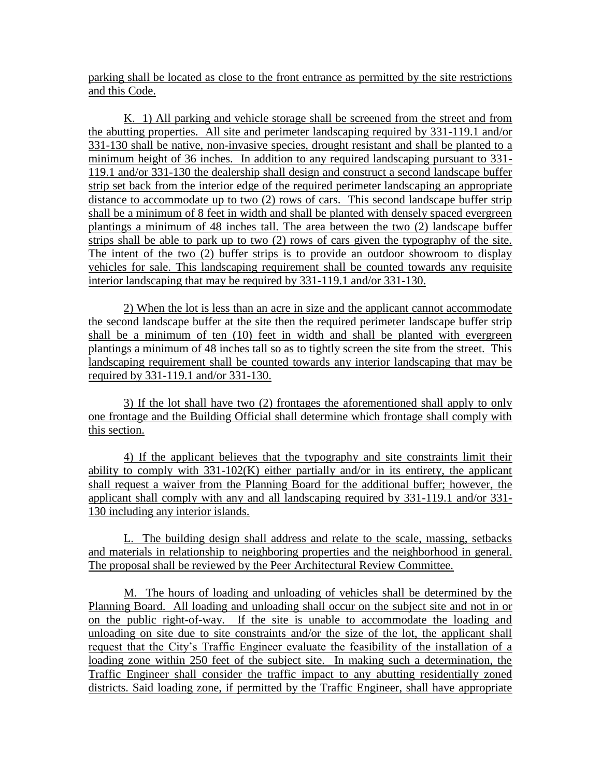parking shall be located as close to the front entrance as permitted by the site restrictions and this Code.

K. 1) All parking and vehicle storage shall be screened from the street and from the abutting properties. All site and perimeter landscaping required by 331-119.1 and/or 331-130 shall be native, non-invasive species, drought resistant and shall be planted to a minimum height of 36 inches. In addition to any required landscaping pursuant to 331- 119.1 and/or 331-130 the dealership shall design and construct a second landscape buffer strip set back from the interior edge of the required perimeter landscaping an appropriate distance to accommodate up to two (2) rows of cars. This second landscape buffer strip shall be a minimum of 8 feet in width and shall be planted with densely spaced evergreen plantings a minimum of 48 inches tall. The area between the two (2) landscape buffer strips shall be able to park up to two (2) rows of cars given the typography of the site. The intent of the two (2) buffer strips is to provide an outdoor showroom to display vehicles for sale. This landscaping requirement shall be counted towards any requisite interior landscaping that may be required by 331-119.1 and/or 331-130.

2) When the lot is less than an acre in size and the applicant cannot accommodate the second landscape buffer at the site then the required perimeter landscape buffer strip shall be a minimum of ten (10) feet in width and shall be planted with evergreen plantings a minimum of 48 inches tall so as to tightly screen the site from the street. This landscaping requirement shall be counted towards any interior landscaping that may be required by 331-119.1 and/or 331-130.

3) If the lot shall have two (2) frontages the aforementioned shall apply to only one frontage and the Building Official shall determine which frontage shall comply with this section.

4) If the applicant believes that the typography and site constraints limit their ability to comply with 331-102(K) either partially and/or in its entirety, the applicant shall request a waiver from the Planning Board for the additional buffer; however, the applicant shall comply with any and all landscaping required by 331-119.1 and/or 331- 130 including any interior islands.

L. The building design shall address and relate to the scale, massing, setbacks and materials in relationship to neighboring properties and the neighborhood in general. The proposal shall be reviewed by the Peer Architectural Review Committee.

M. The hours of loading and unloading of vehicles shall be determined by the Planning Board. All loading and unloading shall occur on the subject site and not in or on the public right-of-way. If the site is unable to accommodate the loading and unloading on site due to site constraints and/or the size of the lot, the applicant shall request that the City's Traffic Engineer evaluate the feasibility of the installation of a loading zone within 250 feet of the subject site. In making such a determination, the Traffic Engineer shall consider the traffic impact to any abutting residentially zoned districts. Said loading zone, if permitted by the Traffic Engineer, shall have appropriate